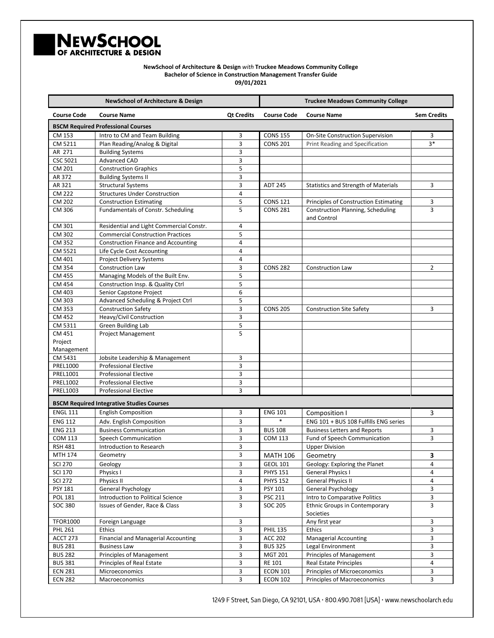

**NewSchool of Architecture & Design** *with* **Truckee Meadows Community College Bachelor of Science in Construction Management Transfer Guide 09/01/2021**

| <b>NewSchool of Architecture &amp; Design</b>    |                                            |                   | <b>Truckee Meadows Community College</b> |                                                         |                    |
|--------------------------------------------------|--------------------------------------------|-------------------|------------------------------------------|---------------------------------------------------------|--------------------|
| <b>Course Code</b>                               | <b>Course Name</b>                         | <b>Qt Credits</b> | <b>Course Code</b>                       | <b>Course Name</b>                                      | <b>Sem Credits</b> |
| <b>BSCM Required Professional Courses</b>        |                                            |                   |                                          |                                                         |                    |
| CM 153                                           | Intro to CM and Team Building              | 3                 | <b>CONS 155</b>                          | <b>On-Site Construction Supervision</b>                 | 3                  |
| CM 5211                                          | Plan Reading/Analog & Digital              | 3                 | <b>CONS 201</b>                          | Print Reading and Specification                         | 3*                 |
| AR 271                                           | <b>Building Systems</b>                    | 3                 |                                          |                                                         |                    |
| <b>CSC 5021</b>                                  | <b>Advanced CAD</b>                        | 3                 |                                          |                                                         |                    |
| CM 201                                           | <b>Construction Graphics</b>               | 5                 |                                          |                                                         |                    |
| AR 372                                           | <b>Building Systems II</b>                 | 3                 |                                          |                                                         |                    |
| AR 321                                           | <b>Structural Systems</b>                  | 3                 | <b>ADT 245</b>                           | <b>Statistics and Strength of Materials</b>             | 3                  |
| <b>CM 222</b>                                    | <b>Structures Under Construction</b>       | $\overline{4}$    |                                          |                                                         |                    |
| CM 202                                           | <b>Construction Estimating</b>             | 5                 | <b>CONS 121</b>                          | <b>Principles of Construction Estimating</b>            | 3                  |
| CM 306                                           | Fundamentals of Constr. Scheduling         | 5                 | <b>CONS 281</b>                          | <b>Construction Planning, Scheduling</b><br>and Control | 3                  |
| CM 301                                           | Residential and Light Commercial Constr.   | $\overline{4}$    |                                          |                                                         |                    |
| CM 302                                           | <b>Commercial Construction Practices</b>   | 5                 |                                          |                                                         |                    |
| CM 352                                           | <b>Construction Finance and Accounting</b> | 4                 |                                          |                                                         |                    |
| CM 5521                                          | Life Cycle Cost Accounting                 | $\overline{4}$    |                                          |                                                         |                    |
| CM 401                                           | Project Delivery Systems                   | $\overline{4}$    |                                          |                                                         |                    |
| CM 354                                           | <b>Construction Law</b>                    | 3                 | <b>CONS 282</b>                          | <b>Construction Law</b>                                 | 2                  |
| CM 455                                           | Managing Models of the Built Env.          | 5                 |                                          |                                                         |                    |
| <b>CM 454</b>                                    | Construction Insp. & Quality Ctrl          | 5                 |                                          |                                                         |                    |
| CM 403                                           | Senior Capstone Project                    | 6                 |                                          |                                                         |                    |
| CM 303                                           | Advanced Scheduling & Project Ctrl         | 5                 |                                          |                                                         |                    |
| CM 353                                           | <b>Construction Safety</b>                 | 3                 | <b>CONS 205</b>                          | <b>Construction Site Safety</b>                         | 3                  |
| CM 452                                           | Heavy/Civil Construction                   | 3                 |                                          |                                                         |                    |
| CM 5311                                          | Green Building Lab                         | 5                 |                                          |                                                         |                    |
| CM 451                                           | Project Management                         | 5                 |                                          |                                                         |                    |
| Project                                          |                                            |                   |                                          |                                                         |                    |
| Management                                       |                                            |                   |                                          |                                                         |                    |
| CM 5431                                          | Jobsite Leadership & Management            | 3                 |                                          |                                                         |                    |
| PREL1000                                         | <b>Professional Elective</b>               | 3                 |                                          |                                                         |                    |
| PREL1001                                         | <b>Professional Elective</b>               | 3                 |                                          |                                                         |                    |
| PREL1002                                         | <b>Professional Elective</b>               | 3                 |                                          |                                                         |                    |
| PREL1003                                         | <b>Professional Elective</b>               | 3                 |                                          |                                                         |                    |
| <b>BSCM Required Integrative Studies Courses</b> |                                            |                   |                                          |                                                         |                    |
| <b>ENGL 111</b>                                  | <b>English Composition</b>                 | 3                 | <b>ENG 101</b>                           | Composition I                                           | $\overline{3}$     |
| <b>ENG 112</b>                                   | Adv. English Composition                   | 3                 |                                          | ENG 101 + BUS 108 Fulfills ENG series                   |                    |
| <b>ENG 213</b>                                   | <b>Business Communication</b>              | 3                 | <b>BUS 108</b>                           | <b>Business Letters and Reports</b>                     | 3                  |
| <b>COM 113</b>                                   | Speech Communication                       | 3                 | <b>COM 113</b>                           | Fund of Speech Communication                            | 3                  |
| <b>RSH 481</b>                                   | Introduction to Research                   | 3                 |                                          | <b>Upper Division</b>                                   |                    |
| MTH 174                                          | Geometry                                   | 3                 | <b>MATH 106</b>                          | Geometry                                                | 3                  |
| <b>SCI 270</b>                                   | Geology                                    | 3                 | <b>GEOL 101</b>                          | Geology: Exploring the Planet                           | $\overline{4}$     |
| <b>SCI 170</b>                                   | Physics I                                  | 3                 | <b>PHYS 151</b>                          | <b>General Physics I</b>                                | 4                  |
| <b>SCI 272</b>                                   | Physics II                                 | $\pmb{4}$         | <b>PHYS 152</b>                          | <b>General Physics II</b>                               | 4                  |
| PSY 181                                          | <b>General Psychology</b>                  | 3                 | PSY 101                                  | General Psychology                                      | 3                  |
| <b>POL 181</b>                                   | Introduction to Political Science          | 3                 | <b>PSC 211</b>                           | Intro to Comparative Politics                           | 3                  |
| <b>SOC 380</b>                                   | Issues of Gender, Race & Class             | 3                 | <b>SOC 205</b>                           | Ethnic Groups in Contemporary                           | 3                  |
|                                                  |                                            |                   |                                          | Societies                                               |                    |
| <b>TFOR1000</b>                                  | Foreign Language                           | 3                 |                                          | Any first year                                          | 3                  |
| <b>PHL 261</b>                                   | Ethics                                     | 3                 | <b>PHIL 135</b>                          | Ethics                                                  | 3                  |
| ACCT 273                                         | <b>Financial and Managerial Accounting</b> | 3                 | <b>ACC 202</b>                           | <b>Managerial Accounting</b>                            | 3                  |
| <b>BUS 281</b>                                   | <b>Business Law</b>                        | 3                 | <b>BUS 325</b>                           | Legal Environment                                       | 3                  |
| <b>BUS 282</b>                                   | Principles of Management                   | 3                 | <b>MGT 201</b>                           | Principles of Management                                | 3                  |
| <b>BUS 381</b>                                   | Principles of Real Estate                  | 3                 | RE 101                                   | <b>Real Estate Principles</b>                           | 4                  |
| <b>ECN 281</b>                                   | Microeconomics                             | 3                 | <b>ECON 101</b>                          | Principles of Microeconomics                            | 3                  |
| <b>ECN 282</b>                                   | Macroeconomics                             | $\mathbf{3}$      | <b>ECON 102</b>                          | Principles of Macroeconomics                            | 3                  |

1249 F Street, San Diego, CA 92101, USA · 800.490.7081 [USA] · www.newschoolarch.edu